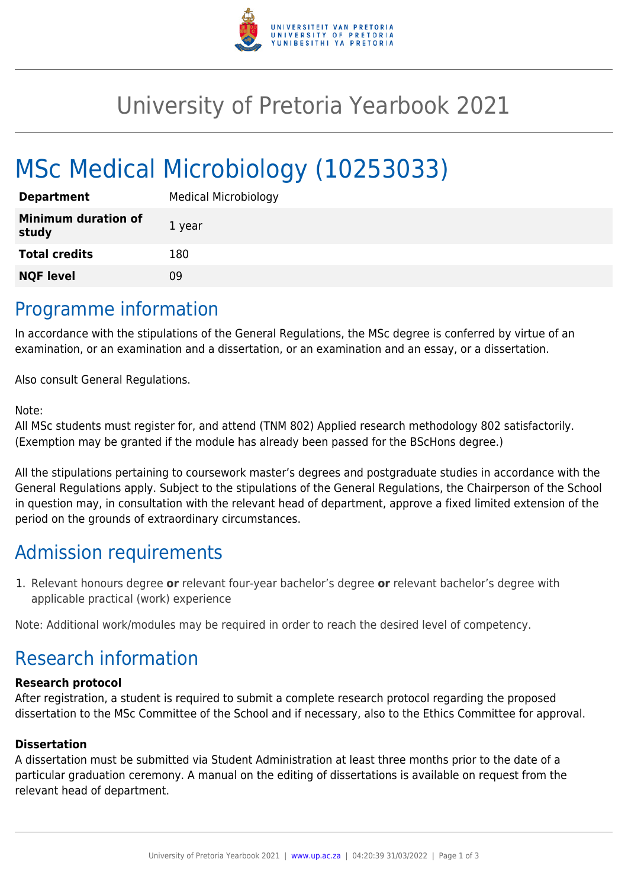

## University of Pretoria Yearbook 2021

# MSc Medical Microbiology (10253033)

| <b>Department</b>                   | <b>Medical Microbiology</b> |
|-------------------------------------|-----------------------------|
| <b>Minimum duration of</b><br>study | 1 year                      |
| <b>Total credits</b>                | 180                         |
| <b>NQF level</b>                    | 09                          |

### Programme information

In accordance with the stipulations of the General Regulations, the MSc degree is conferred by virtue of an examination, or an examination and a dissertation, or an examination and an essay, or a dissertation.

Also consult General Regulations.

#### Note:

All MSc students must register for, and attend (TNM 802) Applied research methodology 802 satisfactorily. (Exemption may be granted if the module has already been passed for the BScHons degree.)

All the stipulations pertaining to coursework master's degrees and postgraduate studies in accordance with the General Regulations apply. Subject to the stipulations of the General Regulations, the Chairperson of the School in question may, in consultation with the relevant head of department, approve a fixed limited extension of the period on the grounds of extraordinary circumstances.

## Admission requirements

1. Relevant honours degree **or** relevant four-year bachelor's degree **or** relevant bachelor's degree with applicable practical (work) experience

Note: Additional work/modules may be required in order to reach the desired level of competency.

## Research information

#### **Research protocol**

After registration, a student is required to submit a complete research protocol regarding the proposed dissertation to the MSc Committee of the School and if necessary, also to the Ethics Committee for approval.

#### **Dissertation**

A dissertation must be submitted via Student Administration at least three months prior to the date of a particular graduation ceremony. A manual on the editing of dissertations is available on request from the relevant head of department.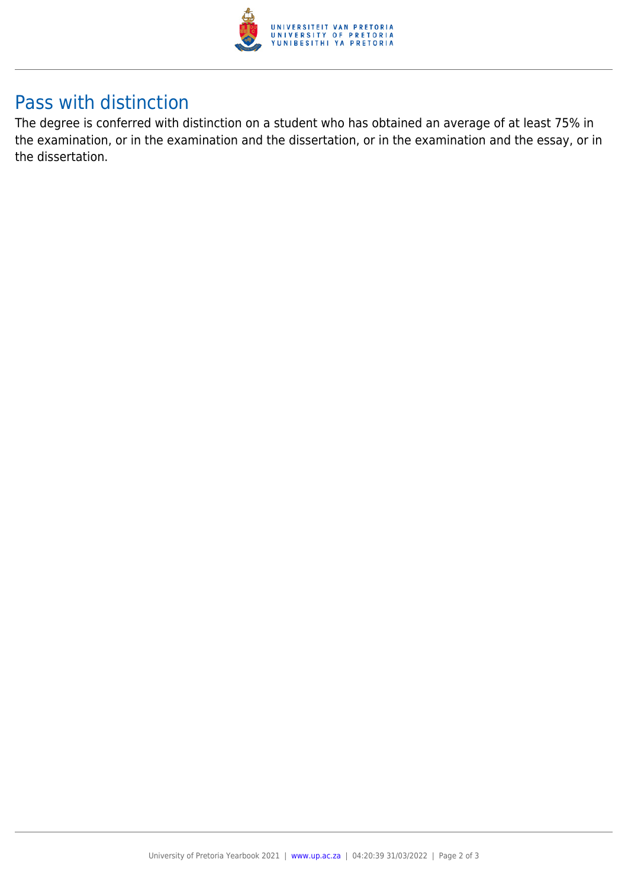

## Pass with distinction

The degree is conferred with distinction on a student who has obtained an average of at least 75% in the examination, or in the examination and the dissertation, or in the examination and the essay, or in the dissertation.